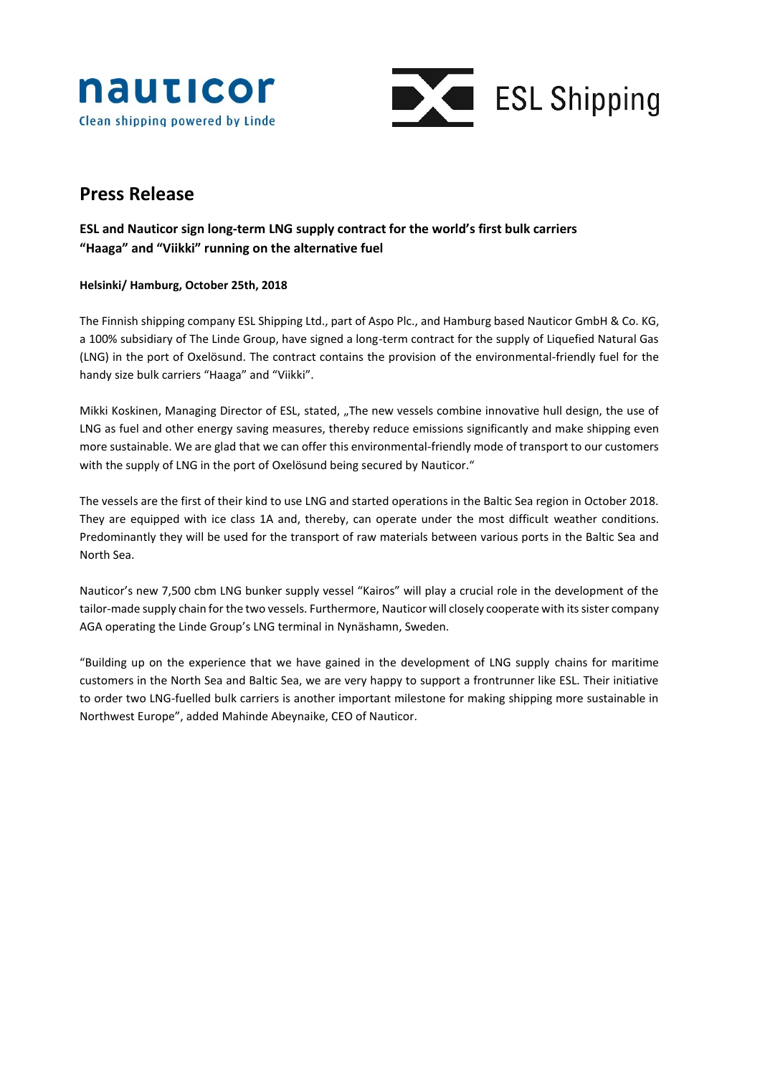



# **Press Release**

## **ESL and Nauticor sign long-term LNG supply contract for the world's first bulk carriers "Haaga" and "Viikki" running on the alternative fuel**

### **Helsinki/ Hamburg, October 25th, 2018**

The Finnish shipping company ESL Shipping Ltd., part of Aspo Plc., and Hamburg based Nauticor GmbH & Co. KG, a 100% subsidiary of The Linde Group, have signed a long-term contract for the supply of Liquefied Natural Gas (LNG) in the port of Oxelösund. The contract contains the provision of the environmental-friendly fuel for the handy size bulk carriers "Haaga" and "Viikki".

Mikki Koskinen, Managing Director of ESL, stated, "The new vessels combine innovative hull design, the use of LNG as fuel and other energy saving measures, thereby reduce emissions significantly and make shipping even more sustainable. We are glad that we can offer this environmental-friendly mode of transport to our customers with the supply of LNG in the port of Oxelösund being secured by Nauticor."

The vessels are the first of their kind to use LNG and started operations in the Baltic Sea region in October 2018. They are equipped with ice class 1A and, thereby, can operate under the most difficult weather conditions. Predominantly they will be used for the transport of raw materials between various ports in the Baltic Sea and North Sea.

Nauticor's new 7,500 cbm LNG bunker supply vessel "Kairos" will play a crucial role in the development of the tailor-made supply chain for the two vessels. Furthermore, Nauticor will closely cooperate with its sister company AGA operating the Linde Group's LNG terminal in Nynäshamn, Sweden.

"Building up on the experience that we have gained in the development of LNG supply chains for maritime customers in the North Sea and Baltic Sea, we are very happy to support a frontrunner like ESL. Their initiative to order two LNG-fuelled bulk carriers is another important milestone for making shipping more sustainable in Northwest Europe", added Mahinde Abeynaike, CEO of Nauticor.